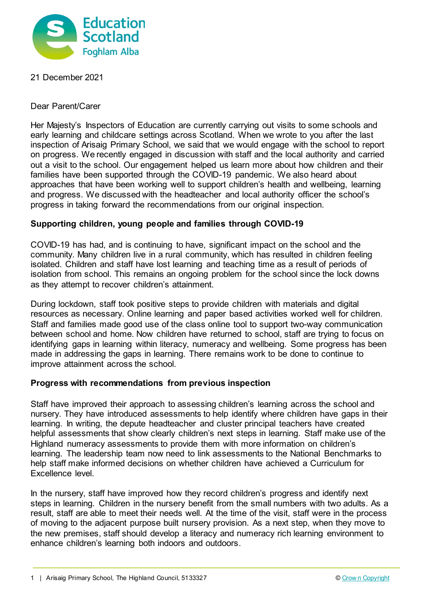

21 December 2021

Dear Parent/Carer

Her Majesty's Inspectors of Education are currently carrying out visits to some schools and early learning and childcare settings across Scotland. When we wrote to you after the last inspection of Arisaig Primary School, we said that we would engage with the school to report on progress. We recently engaged in discussion with staff and the local authority and carried out a visit to the school. Our engagement helped us learn more about how children and their families have been supported through the COVID-19 pandemic. We also heard about approaches that have been working well to support children's health and wellbeing, learning and progress. We discussed with the headteacher and local authority officer the school's progress in taking forward the recommendations from our original inspection.

## **Supporting children, young people and families through COVID-19**

COVID-19 has had, and is continuing to have, significant impact on the school and the community. Many children live in a rural community, which has resulted in children feeling isolated. Children and staff have lost learning and teaching time as a result of periods of isolation from school. This remains an ongoing problem for the school since the lock downs as they attempt to recover children's attainment.

During lockdown, staff took positive steps to provide children with materials and digital resources as necessary. Online learning and paper based activities worked well for children. Staff and families made good use of the class online tool to support two-way communication between school and home. Now children have returned to school, staff are trying to focus on identifying gaps in learning within literacy, numeracy and wellbeing. Some progress has been made in addressing the gaps in learning. There remains work to be done to continue to improve attainment across the school.

## **Progress with recommendations from previous inspection**

Staff have improved their approach to assessing children's learning across the school and nursery. They have introduced assessments to help identify where children have gaps in their learning. In writing, the depute headteacher and cluster principal teachers have created helpful assessments that show clearly children's next steps in learning. Staff make use of the Highland numeracy assessments to provide them with more information on children's learning. The leadership team now need to link assessments to the National Benchmarks to help staff make informed decisions on whether children have achieved a Curriculum for Excellence level.

In the nursery, staff have improved how they record children's progress and identify next steps in learning. Children in the nursery benefit from the small numbers with two adults. As a result, staff are able to meet their needs well. At the time of the visit, staff were in the process of moving to the adjacent purpose built nursery provision. As a next step, when they move to the new premises, staff should develop a literacy and numeracy rich learning environment to enhance children's learning both indoors and outdoors.